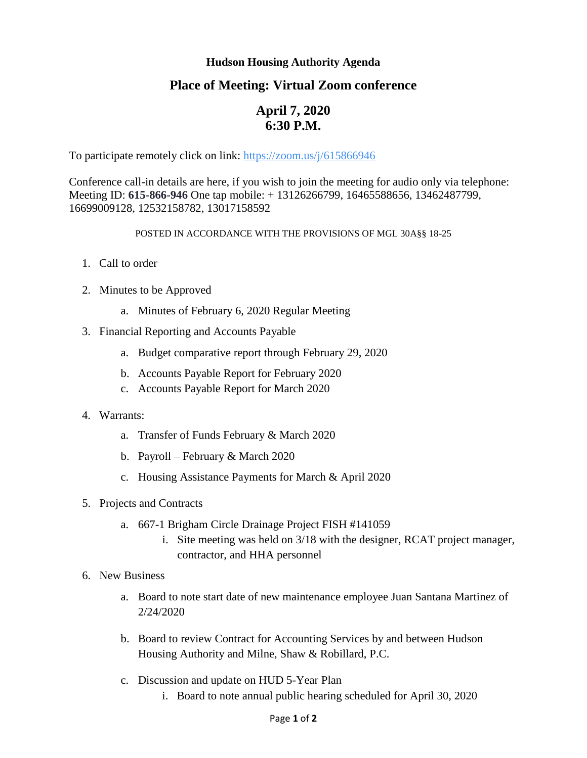## **Hudson Housing Authority Agenda**

# **Place of Meeting: Virtual Zoom conference**

# **April 7, 2020 6:30 P.M.**

To participate remotely click on link:<https://zoom.us/j/615866946>

Conference call-in details are here, if you wish to join the meeting for audio only via telephone: Meeting ID: **615-866-946** One tap mobile: + 13126266799, 16465588656, 13462487799, 16699009128, 12532158782, 13017158592

#### POSTED IN ACCORDANCE WITH THE PROVISIONS OF MGL 30A§§ 18-25

- 1. Call to order
- 2. Minutes to be Approved
	- a. Minutes of February 6, 2020 Regular Meeting
- 3. Financial Reporting and Accounts Payable
	- a. Budget comparative report through February 29, 2020
	- b. Accounts Payable Report for February 2020
	- c. Accounts Payable Report for March 2020
- 4. Warrants:
	- a. Transfer of Funds February & March 2020
	- b. Payroll February & March 2020
	- c. Housing Assistance Payments for March & April 2020
- 5. Projects and Contracts
	- a. 667-1 Brigham Circle Drainage Project FISH #141059
		- i. Site meeting was held on 3/18 with the designer, RCAT project manager, contractor, and HHA personnel
- 6. New Business
	- a. Board to note start date of new maintenance employee Juan Santana Martinez of 2/24/2020
	- b. Board to review Contract for Accounting Services by and between Hudson Housing Authority and Milne, Shaw & Robillard, P.C.
	- c. Discussion and update on HUD 5-Year Plan
		- i. Board to note annual public hearing scheduled for April 30, 2020